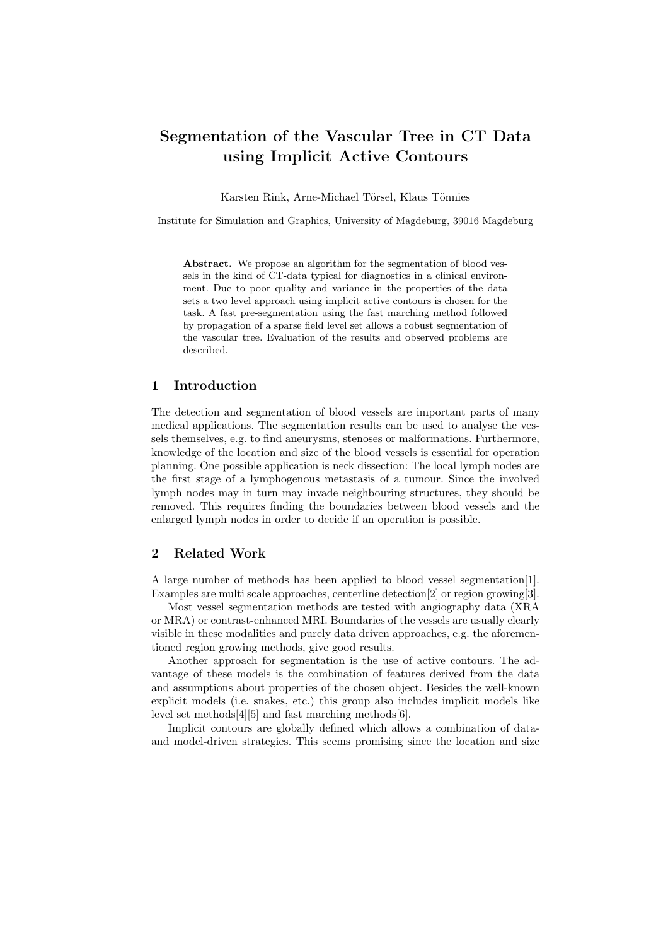# Segmentation of the Vascular Tree in CT Data using Implicit Active Contours

Karsten Rink, Arne-Michael Törsel, Klaus Tönnies

Institute for Simulation and Graphics, University of Magdeburg, 39016 Magdeburg

Abstract. We propose an algorithm for the segmentation of blood vessels in the kind of CT-data typical for diagnostics in a clinical environment. Due to poor quality and variance in the properties of the data sets a two level approach using implicit active contours is chosen for the task. A fast pre-segmentation using the fast marching method followed by propagation of a sparse field level set allows a robust segmentation of the vascular tree. Evaluation of the results and observed problems are described.

# 1 Introduction

The detection and segmentation of blood vessels are important parts of many medical applications. The segmentation results can be used to analyse the vessels themselves, e.g. to find aneurysms, stenoses or malformations. Furthermore, knowledge of the location and size of the blood vessels is essential for operation planning. One possible application is neck dissection: The local lymph nodes are the first stage of a lymphogenous metastasis of a tumour. Since the involved lymph nodes may in turn may invade neighbouring structures, they should be removed. This requires finding the boundaries between blood vessels and the enlarged lymph nodes in order to decide if an operation is possible.

# 2 Related Work

A large number of methods has been applied to blood vessel segmentation[1]. Examples are multi scale approaches, centerline detection[2] or region growing[3].

Most vessel segmentation methods are tested with angiography data (XRA or MRA) or contrast-enhanced MRI. Boundaries of the vessels are usually clearly visible in these modalities and purely data driven approaches, e.g. the aforementioned region growing methods, give good results.

Another approach for segmentation is the use of active contours. The advantage of these models is the combination of features derived from the data and assumptions about properties of the chosen object. Besides the well-known explicit models (i.e. snakes, etc.) this group also includes implicit models like level set methods[4][5] and fast marching methods[6].

Implicit contours are globally defined which allows a combination of dataand model-driven strategies. This seems promising since the location and size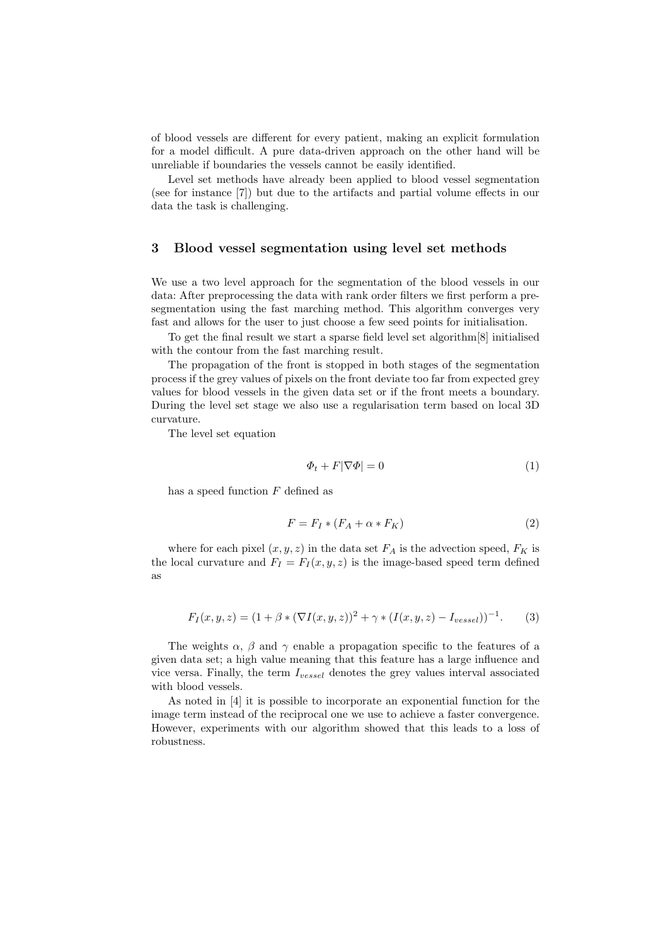of blood vessels are different for every patient, making an explicit formulation for a model difficult. A pure data-driven approach on the other hand will be unreliable if boundaries the vessels cannot be easily identified.

Level set methods have already been applied to blood vessel segmentation (see for instance [7]) but due to the artifacts and partial volume effects in our data the task is challenging.

#### 3 Blood vessel segmentation using level set methods

We use a two level approach for the segmentation of the blood vessels in our data: After preprocessing the data with rank order filters we first perform a presegmentation using the fast marching method. This algorithm converges very fast and allows for the user to just choose a few seed points for initialisation.

To get the final result we start a sparse field level set algorithm[8] initialised with the contour from the fast marching result.

The propagation of the front is stopped in both stages of the segmentation process if the grey values of pixels on the front deviate too far from expected grey values for blood vessels in the given data set or if the front meets a boundary. During the level set stage we also use a regularisation term based on local 3D curvature.

The level set equation

$$
\Phi_t + F|\nabla\Phi| = 0\tag{1}
$$

has a speed function  $F$  defined as

$$
F = F_I * (F_A + \alpha * F_K) \tag{2}
$$

where for each pixel  $(x, y, z)$  in the data set  $F_A$  is the advection speed,  $F_K$  is the local curvature and  $F_I = F_I(x, y, z)$  is the image-based speed term defined as

$$
F_I(x, y, z) = (1 + \beta * (\nabla I(x, y, z))^2 + \gamma * (I(x, y, z) - I_{vessel}))^{-1}.
$$
 (3)

The weights  $\alpha$ ,  $\beta$  and  $\gamma$  enable a propagation specific to the features of a given data set; a high value meaning that this feature has a large influence and vice versa. Finally, the term  $I_{vessel}$  denotes the grey values interval associated with blood vessels.

As noted in [4] it is possible to incorporate an exponential function for the image term instead of the reciprocal one we use to achieve a faster convergence. However, experiments with our algorithm showed that this leads to a loss of robustness.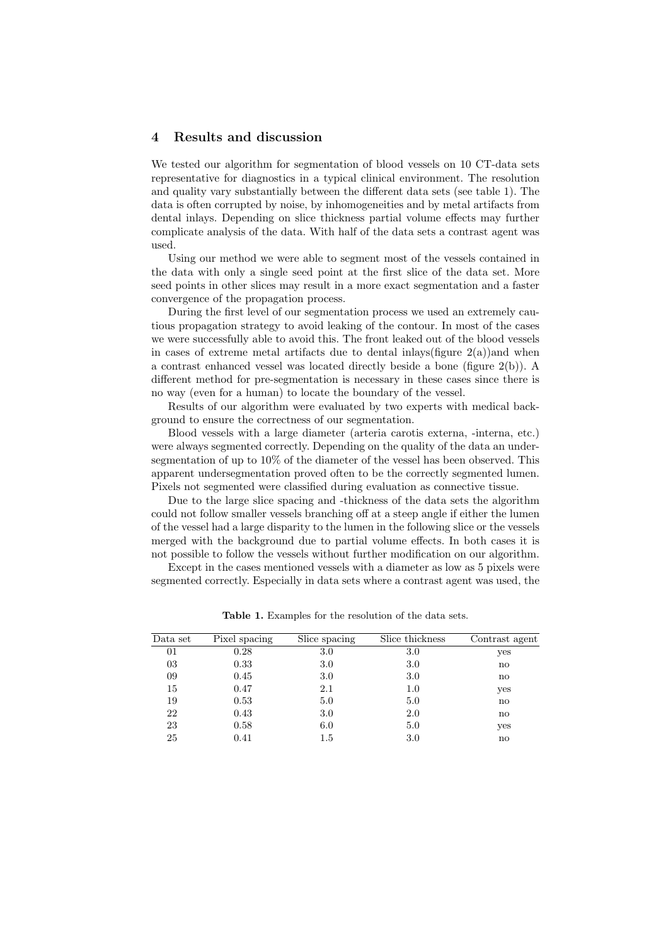# 4 Results and discussion

We tested our algorithm for segmentation of blood vessels on 10 CT-data sets representative for diagnostics in a typical clinical environment. The resolution and quality vary substantially between the different data sets (see table 1). The data is often corrupted by noise, by inhomogeneities and by metal artifacts from dental inlays. Depending on slice thickness partial volume effects may further complicate analysis of the data. With half of the data sets a contrast agent was used.

Using our method we were able to segment most of the vessels contained in the data with only a single seed point at the first slice of the data set. More seed points in other slices may result in a more exact segmentation and a faster convergence of the propagation process.

During the first level of our segmentation process we used an extremely cautious propagation strategy to avoid leaking of the contour. In most of the cases we were successfully able to avoid this. The front leaked out of the blood vessels in cases of extreme metal artifacts due to dental inlays (figure  $2(a)$ ) and when a contrast enhanced vessel was located directly beside a bone (figure 2(b)). A different method for pre-segmentation is necessary in these cases since there is no way (even for a human) to locate the boundary of the vessel.

Results of our algorithm were evaluated by two experts with medical background to ensure the correctness of our segmentation.

Blood vessels with a large diameter (arteria carotis externa, -interna, etc.) were always segmented correctly. Depending on the quality of the data an undersegmentation of up to 10% of the diameter of the vessel has been observed. This apparent undersegmentation proved often to be the correctly segmented lumen. Pixels not segmented were classified during evaluation as connective tissue.

Due to the large slice spacing and -thickness of the data sets the algorithm could not follow smaller vessels branching off at a steep angle if either the lumen of the vessel had a large disparity to the lumen in the following slice or the vessels merged with the background due to partial volume effects. In both cases it is not possible to follow the vessels without further modification on our algorithm.

Except in the cases mentioned vessels with a diameter as low as 5 pixels were segmented correctly. Especially in data sets where a contrast agent was used, the

| Data set | Pixel spacing | Slice spacing | Slice thickness | Contrast agent |
|----------|---------------|---------------|-----------------|----------------|
| 01       | 0.28          | 3.0           | 3.0             | yes            |
| 03       | 0.33          | 3.0           | 3.0             | no             |
| 09       | 0.45          | 3.0           | 3.0             | no             |
| 15       | 0.47          | 2.1           | 1.0             | yes            |
| 19       | 0.53          | 5.0           | 5.0             | $\mathbf{n}$   |
| 22       | 0.43          | 3.0           | 2.0             | no             |
| 23       | 0.58          | 6.0           | 5.0             | yes            |
| 25       | 0.41          | $1.5\,$       | 3.0             | no             |

Table 1. Examples for the resolution of the data sets.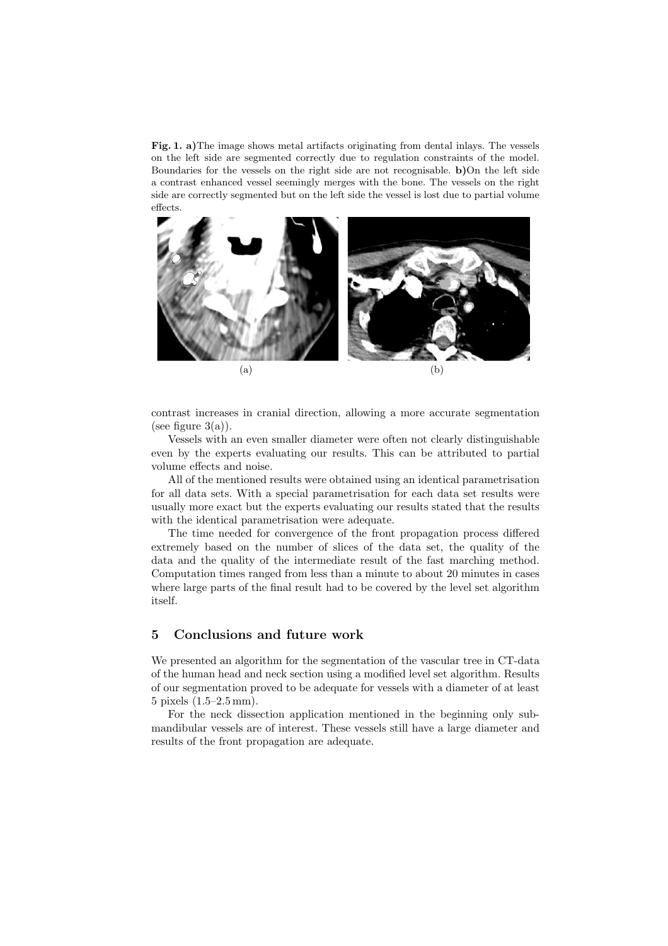Fig. 1. a)The image shows metal artifacts originating from dental inlays. The vessels on the left side are segmented correctly due to regulation constraints of the model. Boundaries for the vessels on the right side are not recognisable. b)On the left side a contrast enhanced vessel seemingly merges with the bone. The vessels on the right side are correctly segmented but on the left side the vessel is lost due to partial volume effects.



contrast increases in cranial direction, allowing a more accurate segmentation (see figure  $3(a)$ ).

Vessels with an even smaller diameter were often not clearly distinguishable even by the experts evaluating our results. This can be attributed to partial volume effects and noise.

All of the mentioned results were obtained using an identical parametrisation for all data sets. With a special parametrisation for each data set results were usually more exact but the experts evaluating our results stated that the results with the identical parametrisation were adequate.

The time needed for convergence of the front propagation process differed extremely based on the number of slices of the data set, the quality of the data and the quality of the intermediate result of the fast marching method. Computation times ranged from less than a minute to about 20 minutes in cases where large parts of the final result had to be covered by the level set algorithm itself.

# 5 Conclusions and future work

We presented an algorithm for the segmentation of the vascular tree in CT-data of the human head and neck section using a modified level set algorithm. Results of our segmentation proved to be adequate for vessels with a diameter of at least 5 pixels (1.5–2.5 mm).

For the neck dissection application mentioned in the beginning only submandibular vessels are of interest. These vessels still have a large diameter and results of the front propagation are adequate.